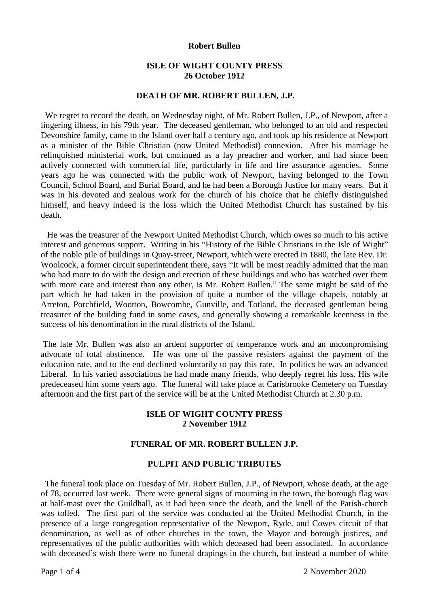### **Robert Bullen**

# **ISLE OF WIGHT COUNTY PRESS 26 October 1912**

### **DEATH OF MR. ROBERT BULLEN, J.P.**

We regret to record the death, on Wednesday night, of Mr. Robert Bullen, J.P., of Newport, after a lingering illness, in his 79th year. The deceased gentleman, who belonged to an old and respected Devonshire family, came to the Island over half a century ago, and took up his residence at Newport as a minister of the Bible Christian (now United Methodist) connexion. After his marriage he relinquished ministerial work, but continued as a lay preacher and worker, and had since been actively connected with commercial life, particularly in life and fire assurance agencies. Some years ago he was connected with the public work of Newport, having belonged to the Town Council, School Board, and Burial Board, and he had been a Borough Justice for many years. But it was in his devoted and zealous work for the church of his choice that he chiefly distinguished himself, and heavy indeed is the loss which the United Methodist Church has sustained by his death.

 He was the treasurer of the Newport United Methodist Church, which owes so much to his active interest and generous support. Writing in his "History of the Bible Christians in the Isle of Wight" of the noble pile of buildings in Quay-street, Newport, which were erected in 1880, the late Rev. Dr. Woolcock, a former circuit superintendent there, says "It will be most readily admitted that the man who had more to do with the design and erection of these buildings and who has watched over them with more care and interest than any other, is Mr. Robert Bullen." The same might be said of the part which he had taken in the provision of quite a number of the village chapels, notably at Arreton, Porchfield, Wootton, Bowcombe, Gunville, and Totland, the deceased gentleman being treasurer of the building fund in some cases, and generally showing a remarkable keenness in the success of his denomination in the rural districts of the Island.

The late Mr. Bullen was also an ardent supporter of temperance work and an uncompromising advocate of total abstinence. He was one of the passive resisters against the payment of the education rate, and to the end declined voluntarily to pay this rate. In politics he was an advanced Liberal. In his varied associations he had made many friends, who deeply regret his loss. His wife predeceased him some years ago. The funeral will take place at Carisbrooke Cemetery on Tuesday afternoon and the first part of the service will be at the United Methodist Church at 2.30 p.m.

# **ISLE OF WIGHT COUNTY PRESS 2 November 1912**

## **FUNERAL OF MR. ROBERT BULLEN J.P.**

#### **PULPIT AND PUBLIC TRIBUTES**

 The funeral took place on Tuesday of Mr. Robert Bullen, J.P., of Newport, whose death, at the age of 78, occurred last week. There were general signs of mourning in the town, the borough flag was at half-mast over the Guildhall, as it had been since the death, and the knell of the Parish-church was tolled. The first part of the service was conducted at the United Methodist Church, in the presence of a large congregation representative of the Newport, Ryde, and Cowes circuit of that denomination, as well as of other churches in the town, the Mayor and borough justices, and representatives of the public authorities with which deceased had been associated. In accordance with deceased's wish there were no funeral drapings in the church, but instead a number of white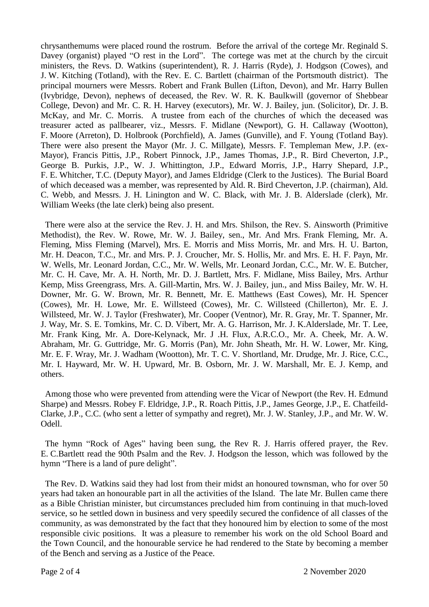chrysanthemums were placed round the rostrum. Before the arrival of the cortege Mr. Reginald S. Davey (organist) played "O rest in the Lord". The cortege was met at the church by the circuit ministers, the Revs. D. Watkins (superintendent), R. J. Harris (Ryde), J. Hodgson (Cowes), and J. W. Kitching (Totland), with the Rev. E. C. Bartlett (chairman of the Portsmouth district). The principal mourners were Messrs. Robert and Frank Bullen (Lifton, Devon), and Mr. Harry Bullen (Ivybridge, Devon), nephews of deceased, the Rev. W. R. K. Baulkwill (governor of Shebbear College, Devon) and Mr. C. R. H. Harvey (executors), Mr. W. J. Bailey, jun. (Solicitor), Dr. J. B. McKay, and Mr. C. Morris. A trustee from each of the churches of which the deceased was treasurer acted as pallbearer, viz., Messrs. F. Midlane (Newport), G. H. Callaway (Wootton), F. Moore (Arreton), D. Holbrook (Porchfield), A. James (Gunville), and F. Young (Totland Bay). There were also present the Mayor (Mr. J. C. Millgate), Messrs. F. Templeman Mew, J.P. (ex-Mayor), Francis Pittis, J.P., Robert Pinnock, J.P., James Thomas, J.P., R. Bird Cheverton, J.P., George B. Purkis, J.P., W. J. Whittington, J.P., Edward Morris, J.P., Harry Shepard, J.P., F. E. Whitcher, T.C. (Deputy Mayor), and James Eldridge (Clerk to the Justices). The Burial Board of which deceased was a member, was represented by Ald. R. Bird Cheverton, J.P. (chairman), Ald. C. Webb, and Messrs. J. H. Linington and W. C. Black, with Mr. J. B. Alderslade (clerk), Mr. William Weeks (the late clerk) being also present.

 There were also at the service the Rev. J. H. and Mrs. Shilson, the Rev. S. Ainsworth (Primitive Methodist), the Rev. W. Rowe, Mr. W. J. Bailey, sen., Mr. And Mrs. Frank Fleming, Mr. A. Fleming, Miss Fleming (Marvel), Mrs. E. Morris and Miss Morris, Mr. and Mrs. H. U. Barton, Mr. H. Deacon, T.C., Mr. and Mrs. P. J. Croucher, Mr. S. Hollis, Mr. and Mrs. E. H. F. Payn, Mr. W. Wells, Mr. Leonard Jordan, C.C., Mr. W. Wells, Mr. Leonard Jordan, C.C., Mr. W. E. Butcher, Mr. C. H. Cave, Mr. A. H. North, Mr. D. J. Bartlett, Mrs. F. Midlane, Miss Bailey, Mrs. Arthur Kemp, Miss Greengrass, Mrs. A. Gill-Martin, Mrs. W. J. Bailey, jun., and Miss Bailey, Mr. W. H. Downer, Mr. G. W. Brown, Mr. R. Bennett, Mr. E. Matthews (East Cowes), Mr. H. Spencer (Cowes), Mr. H. Lowe, Mr. E. Willsteed (Cowes), Mr. C. Willsteed (Chillerton), Mr. E. J. Willsteed, Mr. W. J. Taylor (Freshwater), Mr. Cooper (Ventnor), Mr. R. Gray, Mr. T. Spanner, Mr. J. Way, Mr. S. E. Tomkins, Mr. C. D. Vibert, Mr. A. G. Harrison, Mr. J. K.Alderslade, Mr. T. Lee, Mr. Frank King, Mr. A. Dore-Kelynack, Mr. J .H. Flux, A.R.C.O., Mr. A. Cheek, Mr. A. W. Abraham, Mr. G. Guttridge, Mr. G. Morris (Pan), Mr. John Sheath, Mr. H. W. Lower, Mr. King, Mr. E. F. Wray, Mr. J. Wadham (Wootton), Mr. T. C. V. Shortland, Mr. Drudge, Mr. J. Rice, C.C., Mr. I. Hayward, Mr. W. H. Upward, Mr. B. Osborn, Mr. J. W. Marshall, Mr. E. J. Kemp, and others.

 Among those who were prevented from attending were the Vicar of Newport (the Rev. H. Edmund Sharpe) and Messrs. Robey F. Eldridge, J.P., R. Roach Pittis, J.P., James George, J.P., E. Chatfeild-Clarke, J.P., C.C. (who sent a letter of sympathy and regret), Mr. J. W. Stanley, J.P., and Mr. W. W. Odell.

 The hymn "Rock of Ages" having been sung, the Rev R. J. Harris offered prayer, the Rev. E. C.Bartlett read the 90th Psalm and the Rev. J. Hodgson the lesson, which was followed by the hymn "There is a land of pure delight".

 The Rev. D. Watkins said they had lost from their midst an honoured townsman, who for over 50 years had taken an honourable part in all the activities of the Island. The late Mr. Bullen came there as a Bible Christian minister, but circumstances precluded him from continuing in that much-loved service, so he settled down in business and very speedily secured the confidence of all classes of the community, as was demonstrated by the fact that they honoured him by election to some of the most responsible civic positions. It was a pleasure to remember his work on the old School Board and the Town Council, and the honourable service he had rendered to the State by becoming a member of the Bench and serving as a Justice of the Peace.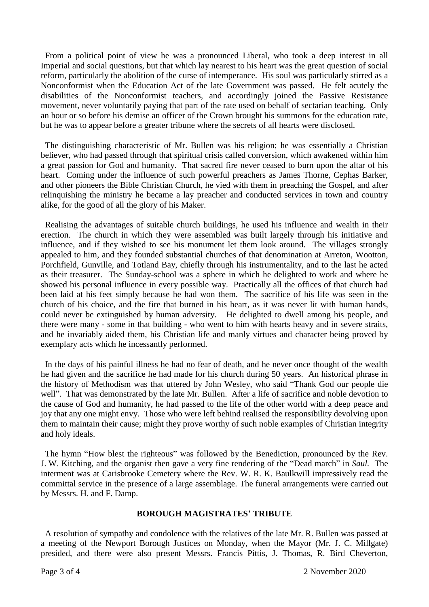From a political point of view he was a pronounced Liberal, who took a deep interest in all Imperial and social questions, but that which lay nearest to his heart was the great question of social reform, particularly the abolition of the curse of intemperance. His soul was particularly stirred as a Nonconformist when the Education Act of the late Government was passed. He felt acutely the disabilities of the Nonconformist teachers, and accordingly joined the Passive Resistance movement, never voluntarily paying that part of the rate used on behalf of sectarian teaching. Only an hour or so before his demise an officer of the Crown brought his summons for the education rate, but he was to appear before a greater tribune where the secrets of all hearts were disclosed.

 The distinguishing characteristic of Mr. Bullen was his religion; he was essentially a Christian believer, who had passed through that spiritual crisis called conversion, which awakened within him a great passion for God and humanity. That sacred fire never ceased to burn upon the altar of his heart. Coming under the influence of such powerful preachers as James Thorne, Cephas Barker, and other pioneers the Bible Christian Church, he vied with them in preaching the Gospel, and after relinquishing the ministry he became a lay preacher and conducted services in town and country alike, for the good of all the glory of his Maker.

 Realising the advantages of suitable church buildings, he used his influence and wealth in their erection. The church in which they were assembled was built largely through his initiative and influence, and if they wished to see his monument let them look around. The villages strongly appealed to him, and they founded substantial churches of that denomination at Arreton, Wootton, Porchfield, Gunville, and Totland Bay, chiefly through his instrumentality, and to the last he acted as their treasurer. The Sunday-school was a sphere in which he delighted to work and where he showed his personal influence in every possible way. Practically all the offices of that church had been laid at his feet simply because he had won them. The sacrifice of his life was seen in the church of his choice, and the fire that burned in his heart, as it was never lit with human hands, could never be extinguished by human adversity. He delighted to dwell among his people, and there were many - some in that building - who went to him with hearts heavy and in severe straits, and he invariably aided them, his Christian life and manly virtues and character being proved by exemplary acts which he incessantly performed.

 In the days of his painful illness he had no fear of death, and he never once thought of the wealth he had given and the sacrifice he had made for his church during 50 years. An historical phrase in the history of Methodism was that uttered by John Wesley, who said "Thank God our people die well". That was demonstrated by the late Mr. Bullen. After a life of sacrifice and noble devotion to the cause of God and humanity, he had passed to the life of the other world with a deep peace and joy that any one might envy. Those who were left behind realised the responsibility devolving upon them to maintain their cause; might they prove worthy of such noble examples of Christian integrity and holy ideals.

 The hymn "How blest the righteous" was followed by the Benediction, pronounced by the Rev. J. W. Kitching, and the organist then gave a very fine rendering of the "Dead march" in *Saul.* The interment was at Carisbrooke Cemetery where the Rev. W. R. K. Baulkwill impressively read the committal service in the presence of a large assemblage. The funeral arrangements were carried out by Messrs. H. and F. Damp.

## **BOROUGH MAGISTRATES' TRIBUTE**

 A resolution of sympathy and condolence with the relatives of the late Mr. R. Bullen was passed at a meeting of the Newport Borough Justices on Monday, when the Mayor (Mr. J. C. Millgate) presided, and there were also present Messrs. Francis Pittis, J. Thomas, R. Bird Cheverton,